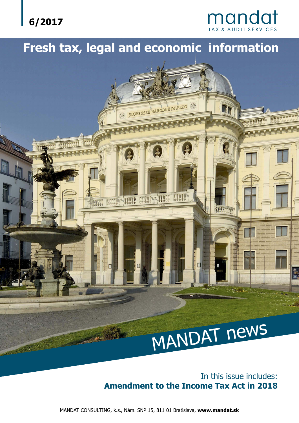

# mandat

# **Fresh tax, legal and economic information**



In this issue includes: **Amendment to the Income Tax Act in 2018**

MANDAT CONSULTING, k.s., Nám. SNP 15, 811 01 Bratislava, **www.mandat.sk**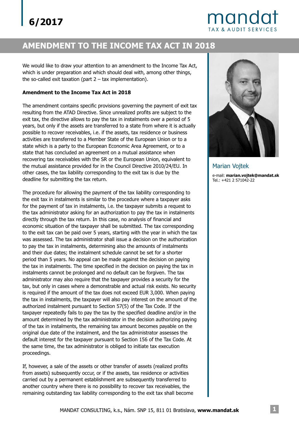# mandat **TAX & AUDIT SERVICES**

## **AMENDMENT TO THE INCOME TAX ACT IN 2018**

We would like to draw your attention to an amendment to the Income Tax Act, which is under preparation and which should deal with, among other things, the so-called exit taxation (part  $2 - tax$  implementation).

#### **Amendment to the Income Tax Act in 2018**

The amendment contains specific provisions governing the payment of exit tax resulting from the ATAD Directive. Since unrealized profits are subject to the exit tax, the directive allows to pay the tax in instalments over a period of 5 years, but only if the assets are transferred to a state from where it is actually possible to recover receivables, i.e. if the assets, tax residence or business activities are transferred to a Member State of the European Union or to a state which is a party to the European Economic Area Agreement, or to a state that has concluded an agreement on a mutual assistance when recovering tax receivables with the SR or the European Union, equivalent to the mutual assistance provided for in the Council Directive 2010/24/EU. In other cases, the tax liability corresponding to the exit tax is due by the deadline for submitting the tax return.

The procedure for allowing the payment of the tax liability corresponding to the exit tax in instalments is similar to the procedure where a taxpayer asks for the payment of tax in instalments, i.e. the taxpayer submits a request to the tax administrator asking for an authorization to pay the tax in instalments directly through the tax return. In this case, no analysis of financial and economic situation of the taxpayer shall be submitted. The tax corresponding to the exit tax can be paid over 5 years, starting with the year in which the tax was assessed. The tax administrator shall issue a decision on the authorization to pay the tax in instalments, determining also the amounts of instalments and their due dates; the instalment schedule cannot be set for a shorter period than 5 years. No appeal can be made against the decision on paying the tax in instalments. The time specified in the decision on paying the tax in instalments cannot be prolonged and no default can be forgiven. The tax administrator may also require that the taxpayer provides a security for the tax, but only in cases where a demonstrable and actual risk exists. No security is required if the amount of the tax does not exceed EUR 3,000. When paying the tax in instalments, the taxpayer will also pay interest on the amount of the authorized instalment pursuant to Section 57(5) of the Tax Code. If the taxpayer repeatedly fails to pay the tax by the specified deadline and/or in the amount determined by the tax administrator in the decision authorizing paying of the tax in instalments, the remaining tax amount becomes payable on the original due date of the instalment, and the tax administrator assesses the default interest for the taxpayer pursuant to Section 156 of the Tax Code. At the same time, the tax administrator is obliged to initiate tax execution proceedings.

If, however, a sale of the assets or other transfer of assets (realized profits from assets) subsequently occur, or if the assets, tax residence or activities carried out by a permanent establishment are subsequently transferred to another country where there is no possibility to recover tax receivables, the remaining outstanding tax liability corresponding to the exit tax shall become



e-mail: **marian.vojtek@mandat.sk** Tel.: +421 2 571042-22 Marian Vojtek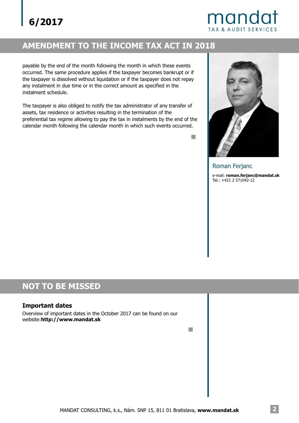# mandat **TAX & AUDIT SERVICES**

## **AMENDMENT TO THE INCOME TAX ACT IN 2018**

payable by the end of the month following the month in which these events occurred. The same procedure applies if the taxpayer becomes bankrupt or if the taxpayer is dissolved without liquidation or if the taxpayer does not repay any instalment in due time or in the correct amount as specified in the instalment schedule.

The taxpayer is also obliged to notify the tax administrator of any transfer of assets, tax residence or activities resulting in the termination of the preferential tax regime allowing to pay the tax in instalments by the end of the calendar month following the calendar month in which such events occurred.



e-mail: **roman.ferjanc@mandat.sk** Tel.: +421 2 571042-12 Roman Ferjanc

### **NOT TO BE MISSED**

#### **Important dates**

Overview of important dates in the October 2017 can be found on our website:**http://www.mandat.sk**

 $\mathbb{R}^n$ 

m.